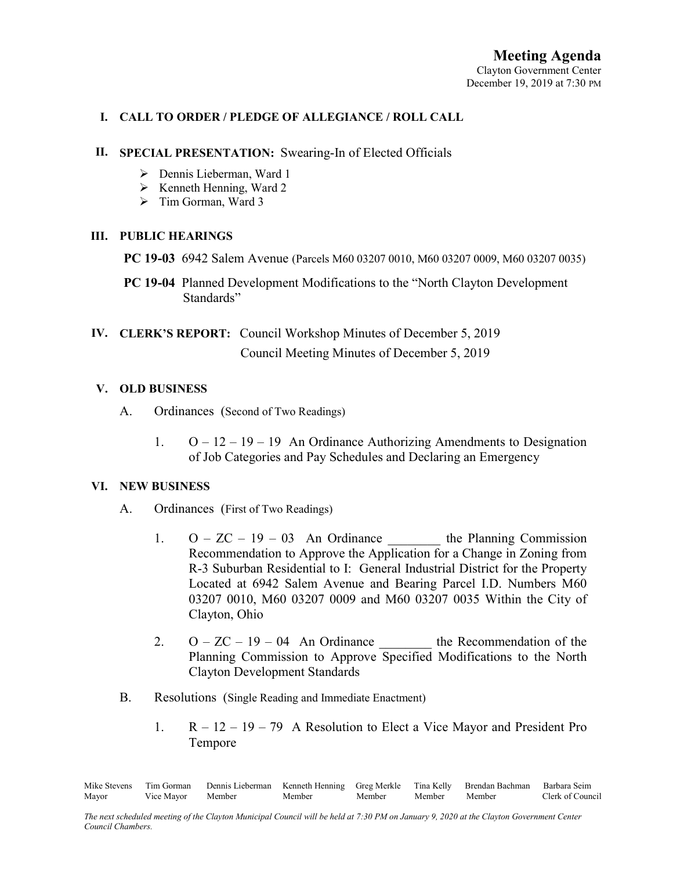# I. CALL TO ORDER / PLEDGE OF ALLEGIANCE / ROLL CALL

#### II. SPECIAL PRESENTATION: Swearing-In of Elected Officials

- Dennis Lieberman, Ward 1
- $\triangleright$  Kenneth Henning, Ward 2
- $\triangleright$  Tim Gorman, Ward 3

## III. PUBLIC HEARINGS

- PC 19-03 6942 Salem Avenue (Parcels M60 03207 0010, M60 03207 0009, M60 03207 0035)
- PC 19-04 Planned Development Modifications to the "North Clayton Development Standards"
- IV. CLERK'S REPORT: Council Workshop Minutes of December 5, 2019 Council Meeting Minutes of December 5, 2019

## V. OLD BUSINESS

- A. Ordinances (Second of Two Readings)
	- 1.  $O 12 19 19$  An Ordinance Authorizing Amendments to Designation of Job Categories and Pay Schedules and Declaring an Emergency

#### VI. NEW BUSINESS

- A. Ordinances (First of Two Readings)
	- 1.  $O ZC 19 03$  An Ordinance the Planning Commission Recommendation to Approve the Application for a Change in Zoning from R-3 Suburban Residential to I: General Industrial District for the Property Located at 6942 Salem Avenue and Bearing Parcel I.D. Numbers M60 03207 0010, M60 03207 0009 and M60 03207 0035 Within the City of Clayton, Ohio
	- 2.  $O ZC 19 04$  An Ordinance the Recommendation of the Planning Commission to Approve Specified Modifications to the North Clayton Development Standards
- B. Resolutions (Single Reading and Immediate Enactment)
	- 1. R 12 19 79 A Resolution to Elect a Vice Mayor and President Pro Tempore

Mike Stevens Tim Gorman Dennis Lieberman Kenneth Henning Greg Merkle Tina Kelly Brendan Bachman Barbara Seim Mayor Vice Mayor Member Member Member Member Member Clerk of Council